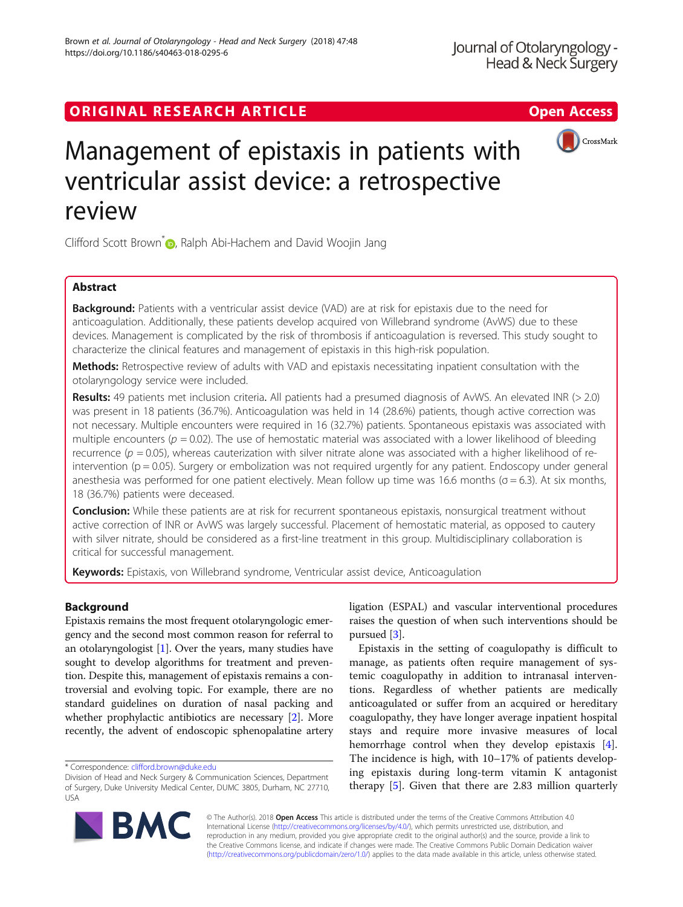## ORIGINAL RESEARCH ARTICLE **External of the Contract Contract Contract Contract Contract Contract Contract Contract Contract Contract Contract Contract Contract Contract Contract Contract Contract Contract Contract Contract**



# Management of epistaxis in patients with ventricular assist device: a retrospective review

Clifford Scott Brown<sup>\*</sup><sup>O</sup>[,](http://orcid.org/0000-0002-5131-5673) Ralph Abi-Hachem and David Woojin Jang

## Abstract

**Background:** Patients with a ventricular assist device (VAD) are at risk for epistaxis due to the need for anticoagulation. Additionally, these patients develop acquired von Willebrand syndrome (AvWS) due to these devices. Management is complicated by the risk of thrombosis if anticoagulation is reversed. This study sought to characterize the clinical features and management of epistaxis in this high-risk population.

Methods: Retrospective review of adults with VAD and epistaxis necessitating inpatient consultation with the otolaryngology service were included.

Results: 49 patients met inclusion criteria. All patients had a presumed diagnosis of AvWS. An elevated INR (> 2.0) was present in 18 patients (36.7%). Anticoagulation was held in 14 (28.6%) patients, though active correction was not necessary. Multiple encounters were required in 16 (32.7%) patients. Spontaneous epistaxis was associated with multiple encounters ( $p = 0.02$ ). The use of hemostatic material was associated with a lower likelihood of bleeding recurrence ( $p = 0.05$ ), whereas cauterization with silver nitrate alone was associated with a higher likelihood of reintervention ( $p = 0.05$ ). Surgery or embolization was not required urgently for any patient. Endoscopy under general anesthesia was performed for one patient electively. Mean follow up time was 16.6 months ( $\sigma$  = 6.3). At six months, 18 (36.7%) patients were deceased.

Conclusion: While these patients are at risk for recurrent spontaneous epistaxis, nonsurgical treatment without active correction of INR or AvWS was largely successful. Placement of hemostatic material, as opposed to cautery with silver nitrate, should be considered as a first-line treatment in this group. Multidisciplinary collaboration is critical for successful management.

Keywords: Epistaxis, von Willebrand syndrome, Ventricular assist device, Anticoagulation

## Background

Epistaxis remains the most frequent otolaryngologic emergency and the second most common reason for referral to an otolaryngologist [[1](#page-4-0)]. Over the years, many studies have sought to develop algorithms for treatment and prevention. Despite this, management of epistaxis remains a controversial and evolving topic. For example, there are no standard guidelines on duration of nasal packing and whether prophylactic antibiotics are necessary [\[2](#page-4-0)]. More recently, the advent of endoscopic sphenopalatine artery ligation (ESPAL) and vascular interventional procedures raises the question of when such interventions should be pursued [[3\]](#page-4-0).

Epistaxis in the setting of coagulopathy is difficult to manage, as patients often require management of systemic coagulopathy in addition to intranasal interventions. Regardless of whether patients are medically anticoagulated or suffer from an acquired or hereditary coagulopathy, they have longer average inpatient hospital stays and require more invasive measures of local hemorrhage control when they develop epistaxis [\[4](#page-4-0)]. The incidence is high, with 10–17% of patients developing epistaxis during long-term vitamin K antagonist therapy [[5\]](#page-4-0). Given that there are 2.83 million quarterly



© The Author(s). 2018 Open Access This article is distributed under the terms of the Creative Commons Attribution 4.0 International License [\(http://creativecommons.org/licenses/by/4.0/](http://creativecommons.org/licenses/by/4.0/)), which permits unrestricted use, distribution, and reproduction in any medium, provided you give appropriate credit to the original author(s) and the source, provide a link to the Creative Commons license, and indicate if changes were made. The Creative Commons Public Domain Dedication waiver [\(http://creativecommons.org/publicdomain/zero/1.0/](http://creativecommons.org/publicdomain/zero/1.0/)) applies to the data made available in this article, unless otherwise stated.

<sup>\*</sup> Correspondence: [clifford.brown@duke.edu](mailto:clifford.brown@duke.edu)

Division of Head and Neck Surgery & Communication Sciences, Department of Surgery, Duke University Medical Center, DUMC 3805, Durham, NC 27710, USA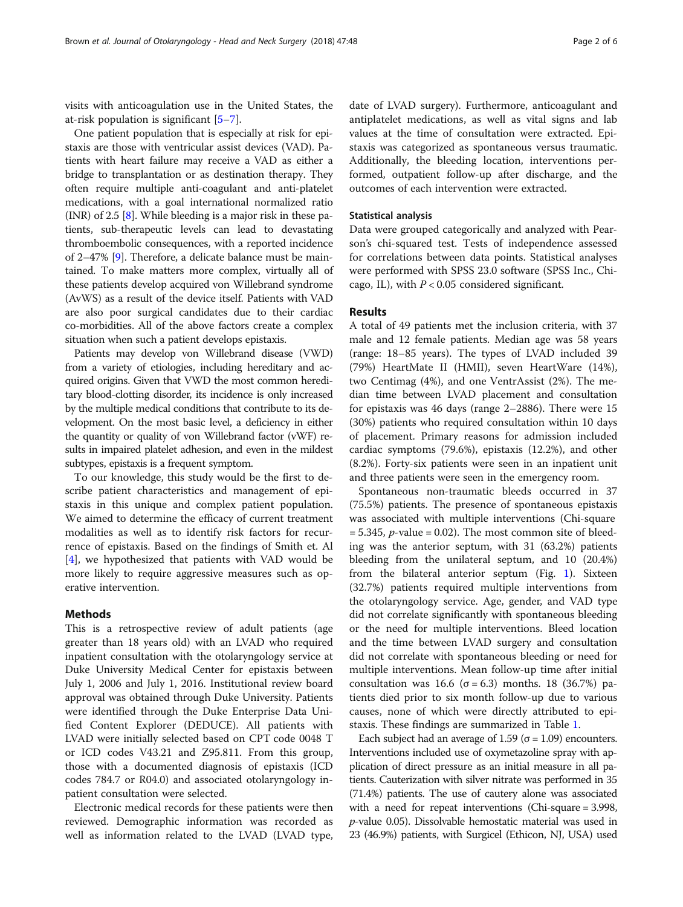visits with anticoagulation use in the United States, the at-risk population is significant [[5](#page-4-0)–[7](#page-4-0)].

One patient population that is especially at risk for epistaxis are those with ventricular assist devices (VAD). Patients with heart failure may receive a VAD as either a bridge to transplantation or as destination therapy. They often require multiple anti-coagulant and anti-platelet medications, with a goal international normalized ratio (INR) of 2.5 [[8](#page-4-0)]. While bleeding is a major risk in these patients, sub-therapeutic levels can lead to devastating thromboembolic consequences, with a reported incidence of 2–47% [[9](#page-4-0)]. Therefore, a delicate balance must be maintained. To make matters more complex, virtually all of these patients develop acquired von Willebrand syndrome (AvWS) as a result of the device itself. Patients with VAD are also poor surgical candidates due to their cardiac co-morbidities. All of the above factors create a complex situation when such a patient develops epistaxis.

Patients may develop von Willebrand disease (VWD) from a variety of etiologies, including hereditary and acquired origins. Given that VWD the most common hereditary blood-clotting disorder, its incidence is only increased by the multiple medical conditions that contribute to its development. On the most basic level, a deficiency in either the quantity or quality of von Willebrand factor (vWF) results in impaired platelet adhesion, and even in the mildest subtypes, epistaxis is a frequent symptom.

To our knowledge, this study would be the first to describe patient characteristics and management of epistaxis in this unique and complex patient population. We aimed to determine the efficacy of current treatment modalities as well as to identify risk factors for recurrence of epistaxis. Based on the findings of Smith et. Al [[4\]](#page-4-0), we hypothesized that patients with VAD would be more likely to require aggressive measures such as operative intervention.

#### Methods

This is a retrospective review of adult patients (age greater than 18 years old) with an LVAD who required inpatient consultation with the otolaryngology service at Duke University Medical Center for epistaxis between July 1, 2006 and July 1, 2016. Institutional review board approval was obtained through Duke University. Patients were identified through the Duke Enterprise Data Unified Content Explorer (DEDUCE). All patients with LVAD were initially selected based on CPT code 0048 T or ICD codes V43.21 and Z95.811. From this group, those with a documented diagnosis of epistaxis (ICD codes 784.7 or R04.0) and associated otolaryngology inpatient consultation were selected.

Electronic medical records for these patients were then reviewed. Demographic information was recorded as well as information related to the LVAD (LVAD type,

date of LVAD surgery). Furthermore, anticoagulant and antiplatelet medications, as well as vital signs and lab values at the time of consultation were extracted. Epistaxis was categorized as spontaneous versus traumatic. Additionally, the bleeding location, interventions performed, outpatient follow-up after discharge, and the outcomes of each intervention were extracted.

#### Statistical analysis

Data were grouped categorically and analyzed with Pearson's chi-squared test. Tests of independence assessed for correlations between data points. Statistical analyses were performed with SPSS 23.0 software (SPSS Inc., Chicago, IL), with  $P < 0.05$  considered significant.

#### Results

A total of 49 patients met the inclusion criteria, with 37 male and 12 female patients. Median age was 58 years (range: 18–85 years). The types of LVAD included 39 (79%) HeartMate II (HMII), seven HeartWare (14%), two Centimag (4%), and one VentrAssist (2%). The median time between LVAD placement and consultation for epistaxis was 46 days (range 2–2886). There were 15 (30%) patients who required consultation within 10 days of placement. Primary reasons for admission included cardiac symptoms (79.6%), epistaxis (12.2%), and other (8.2%). Forty-six patients were seen in an inpatient unit and three patients were seen in the emergency room.

Spontaneous non-traumatic bleeds occurred in 37 (75.5%) patients. The presence of spontaneous epistaxis was associated with multiple interventions (Chi-square  $= 5.345$ , *p*-value  $= 0.02$ ). The most common site of bleeding was the anterior septum, with 31 (63.2%) patients bleeding from the unilateral septum, and 10 (20.4%) from the bilateral anterior septum (Fig. [1\)](#page-2-0). Sixteen (32.7%) patients required multiple interventions from the otolaryngology service. Age, gender, and VAD type did not correlate significantly with spontaneous bleeding or the need for multiple interventions. Bleed location and the time between LVAD surgery and consultation did not correlate with spontaneous bleeding or need for multiple interventions. Mean follow-up time after initial consultation was 16.6 (σ = 6.3) months. 18 (36.7%) patients died prior to six month follow-up due to various causes, none of which were directly attributed to epistaxis. These findings are summarized in Table [1](#page-2-0).

Each subject had an average of 1.59 ( $\sigma$  = 1.09) encounters. Interventions included use of oxymetazoline spray with application of direct pressure as an initial measure in all patients. Cauterization with silver nitrate was performed in 35 (71.4%) patients. The use of cautery alone was associated with a need for repeat interventions (Chi-square = 3.998, p-value 0.05). Dissolvable hemostatic material was used in 23 (46.9%) patients, with Surgicel (Ethicon, NJ, USA) used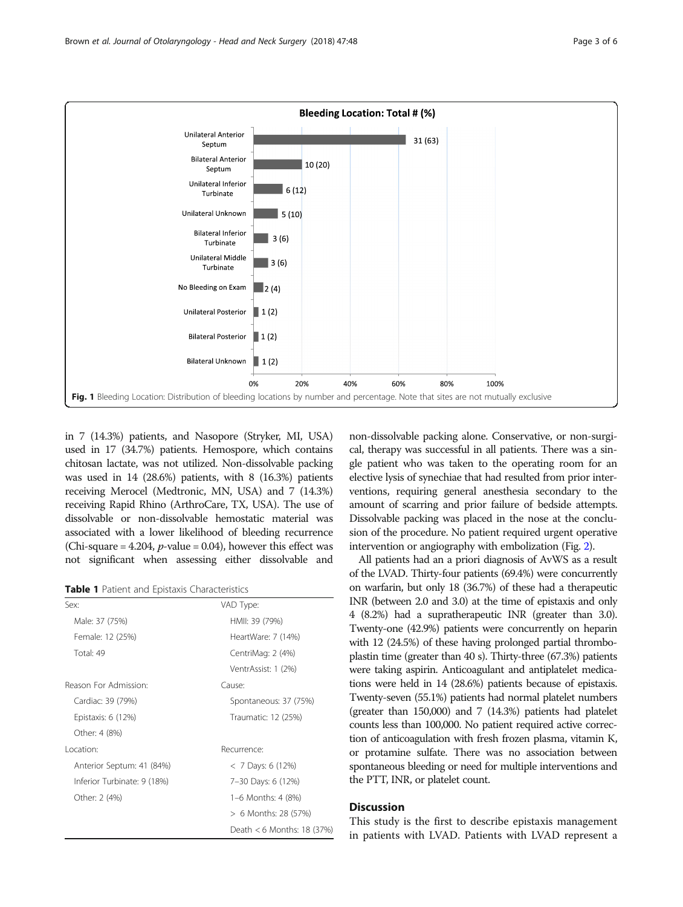<span id="page-2-0"></span>

in 7 (14.3%) patients, and Nasopore (Stryker, MI, USA) used in 17 (34.7%) patients. Hemospore, which contains chitosan lactate, was not utilized. Non-dissolvable packing was used in 14 (28.6%) patients, with 8 (16.3%) patients receiving Merocel (Medtronic, MN, USA) and 7 (14.3%) receiving Rapid Rhino (ArthroCare, TX, USA). The use of dissolvable or non-dissolvable hemostatic material was associated with a lower likelihood of bleeding recurrence (Chi-square = 4.204, *p*-value = 0.04), however this effect was not significant when assessing either dissolvable and

Table 1 Patient and Epistaxis Characteristics

| Sex:                        | VAD Type:                  |
|-----------------------------|----------------------------|
| Male: 37 (75%)              | HMII: 39 (79%)             |
| Female: 12 (25%)            | HeartWare: 7 (14%)         |
| Total: 49                   | CentriMag: 2 (4%)          |
|                             | VentrAssist: 1 (2%)        |
| Reason For Admission:       | Cause:                     |
| Cardiac: 39 (79%)           | Spontaneous: 37 (75%)      |
| Epistaxis: 6 (12%)          | Traumatic: 12 (25%)        |
| Other: 4 (8%)               |                            |
| Location:                   | Recurrence:                |
| Anterior Septum: 41 (84%)   | $< 7$ Days: 6 (12%)        |
| Inferior Turbinate: 9 (18%) | 7-30 Days: 6 (12%)         |
| Other: 2 (4%)               | 1-6 Months: 4 (8%)         |
|                             | > 6 Months: 28 (57%)       |
|                             | Death < 6 Months: 18 (37%) |

non-dissolvable packing alone. Conservative, or non-surgical, therapy was successful in all patients. There was a single patient who was taken to the operating room for an elective lysis of synechiae that had resulted from prior interventions, requiring general anesthesia secondary to the amount of scarring and prior failure of bedside attempts. Dissolvable packing was placed in the nose at the conclusion of the procedure. No patient required urgent operative intervention or angiography with embolization (Fig. [2\)](#page-3-0).

All patients had an a priori diagnosis of AvWS as a result of the LVAD. Thirty-four patients (69.4%) were concurrently on warfarin, but only 18 (36.7%) of these had a therapeutic INR (between 2.0 and 3.0) at the time of epistaxis and only 4 (8.2%) had a supratherapeutic INR (greater than 3.0). Twenty-one (42.9%) patients were concurrently on heparin with 12 (24.5%) of these having prolonged partial thromboplastin time (greater than 40 s). Thirty-three (67.3%) patients were taking aspirin. Anticoagulant and antiplatelet medications were held in 14 (28.6%) patients because of epistaxis. Twenty-seven (55.1%) patients had normal platelet numbers (greater than 150,000) and 7 (14.3%) patients had platelet counts less than 100,000. No patient required active correction of anticoagulation with fresh frozen plasma, vitamin K, or protamine sulfate. There was no association between spontaneous bleeding or need for multiple interventions and the PTT, INR, or platelet count.

### **Discussion**

This study is the first to describe epistaxis management in patients with LVAD. Patients with LVAD represent a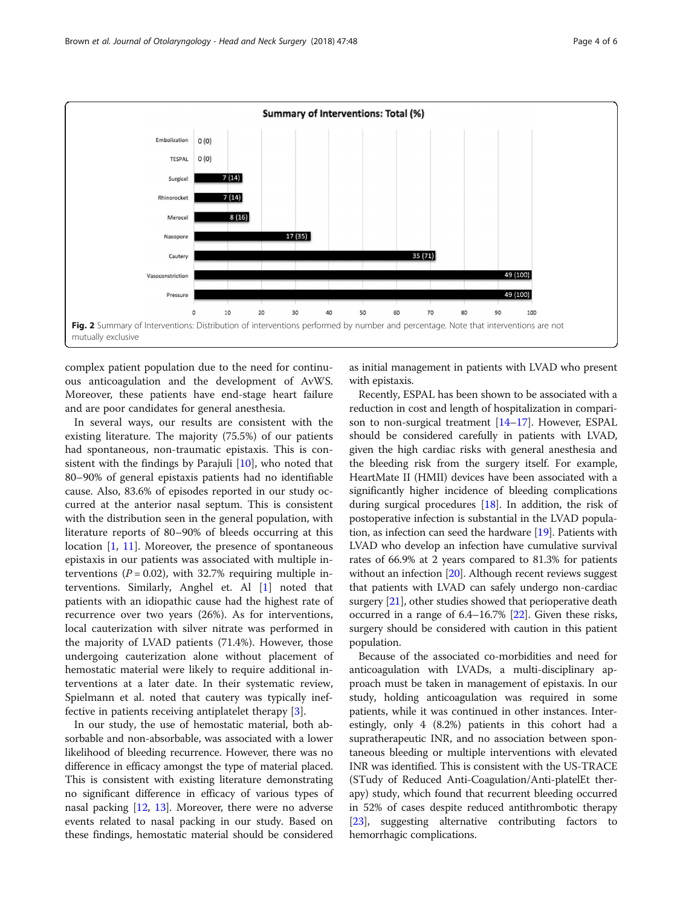<span id="page-3-0"></span>

complex patient population due to the need for continuous anticoagulation and the development of AvWS. Moreover, these patients have end-stage heart failure and are poor candidates for general anesthesia.

In several ways, our results are consistent with the existing literature. The majority (75.5%) of our patients had spontaneous, non-traumatic epistaxis. This is consistent with the findings by Parajuli [\[10\]](#page-5-0), who noted that 80–90% of general epistaxis patients had no identifiable cause. Also, 83.6% of episodes reported in our study occurred at the anterior nasal septum. This is consistent with the distribution seen in the general population, with literature reports of 80–90% of bleeds occurring at this location [\[1](#page-4-0), [11](#page-5-0)]. Moreover, the presence of spontaneous epistaxis in our patients was associated with multiple interventions ( $P = 0.02$ ), with 32.7% requiring multiple interventions. Similarly, Anghel et. Al [\[1](#page-4-0)] noted that patients with an idiopathic cause had the highest rate of recurrence over two years (26%). As for interventions, local cauterization with silver nitrate was performed in the majority of LVAD patients (71.4%). However, those undergoing cauterization alone without placement of hemostatic material were likely to require additional interventions at a later date. In their systematic review, Spielmann et al. noted that cautery was typically ineffective in patients receiving antiplatelet therapy [[3\]](#page-4-0).

In our study, the use of hemostatic material, both absorbable and non-absorbable, was associated with a lower likelihood of bleeding recurrence. However, there was no difference in efficacy amongst the type of material placed. This is consistent with existing literature demonstrating no significant difference in efficacy of various types of nasal packing [\[12,](#page-5-0) [13\]](#page-5-0). Moreover, there were no adverse events related to nasal packing in our study. Based on these findings, hemostatic material should be considered

as initial management in patients with LVAD who present with epistaxis.

Recently, ESPAL has been shown to be associated with a reduction in cost and length of hospitalization in comparison to non-surgical treatment [\[14](#page-5-0)–[17](#page-5-0)]. However, ESPAL should be considered carefully in patients with LVAD, given the high cardiac risks with general anesthesia and the bleeding risk from the surgery itself. For example, HeartMate II (HMII) devices have been associated with a significantly higher incidence of bleeding complications during surgical procedures  $[18]$  $[18]$  $[18]$ . In addition, the risk of postoperative infection is substantial in the LVAD population, as infection can seed the hardware [\[19\]](#page-5-0). Patients with LVAD who develop an infection have cumulative survival rates of 66.9% at 2 years compared to 81.3% for patients without an infection [\[20](#page-5-0)]. Although recent reviews suggest that patients with LVAD can safely undergo non-cardiac surgery [[21](#page-5-0)], other studies showed that perioperative death occurred in a range of 6.4–16.7% [[22\]](#page-5-0). Given these risks, surgery should be considered with caution in this patient population.

Because of the associated co-morbidities and need for anticoagulation with LVADs, a multi-disciplinary approach must be taken in management of epistaxis. In our study, holding anticoagulation was required in some patients, while it was continued in other instances. Interestingly, only 4 (8.2%) patients in this cohort had a supratherapeutic INR, and no association between spontaneous bleeding or multiple interventions with elevated INR was identified. This is consistent with the US-TRACE (STudy of Reduced Anti-Coagulation/Anti-platelEt therapy) study, which found that recurrent bleeding occurred in 52% of cases despite reduced antithrombotic therapy [[23](#page-5-0)], suggesting alternative contributing factors to hemorrhagic complications.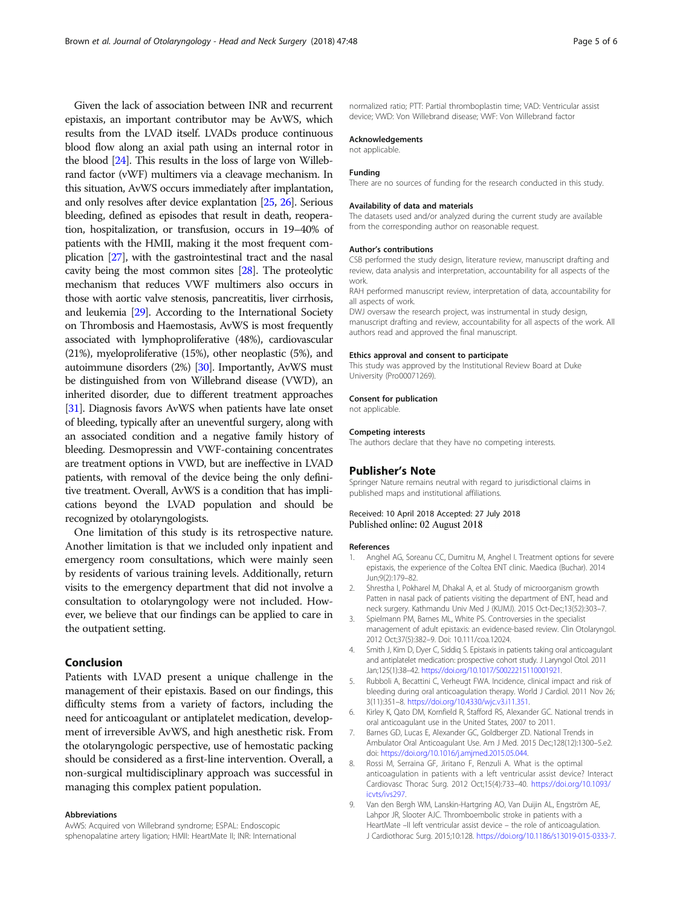<span id="page-4-0"></span>Given the lack of association between INR and recurrent epistaxis, an important contributor may be AvWS, which results from the LVAD itself. LVADs produce continuous blood flow along an axial path using an internal rotor in the blood [\[24\]](#page-5-0). This results in the loss of large von Willebrand factor (vWF) multimers via a cleavage mechanism. In this situation, AvWS occurs immediately after implantation, and only resolves after device explantation [\[25](#page-5-0), [26\]](#page-5-0). Serious bleeding, defined as episodes that result in death, reoperation, hospitalization, or transfusion, occurs in 19–40% of patients with the HMII, making it the most frequent complication [\[27](#page-5-0)], with the gastrointestinal tract and the nasal cavity being the most common sites [[28](#page-5-0)]. The proteolytic mechanism that reduces VWF multimers also occurs in those with aortic valve stenosis, pancreatitis, liver cirrhosis, and leukemia [\[29\]](#page-5-0). According to the International Society on Thrombosis and Haemostasis, AvWS is most frequently associated with lymphoproliferative (48%), cardiovascular (21%), myeloproliferative (15%), other neoplastic (5%), and autoimmune disorders (2%) [[30](#page-5-0)]. Importantly, AvWS must be distinguished from von Willebrand disease (VWD), an inherited disorder, due to different treatment approaches [[31](#page-5-0)]. Diagnosis favors AvWS when patients have late onset of bleeding, typically after an uneventful surgery, along with an associated condition and a negative family history of bleeding. Desmopressin and VWF-containing concentrates are treatment options in VWD, but are ineffective in LVAD patients, with removal of the device being the only definitive treatment. Overall, AvWS is a condition that has implications beyond the LVAD population and should be recognized by otolaryngologists.

One limitation of this study is its retrospective nature. Another limitation is that we included only inpatient and emergency room consultations, which were mainly seen by residents of various training levels. Additionally, return visits to the emergency department that did not involve a consultation to otolaryngology were not included. However, we believe that our findings can be applied to care in the outpatient setting.

## Conclusion

Patients with LVAD present a unique challenge in the management of their epistaxis. Based on our findings, this difficulty stems from a variety of factors, including the need for anticoagulant or antiplatelet medication, development of irreversible AvWS, and high anesthetic risk. From the otolaryngologic perspective, use of hemostatic packing should be considered as a first-line intervention. Overall, a non-surgical multidisciplinary approach was successful in managing this complex patient population.

#### Abbreviations

AvWS: Acquired von Willebrand syndrome; ESPAL: Endoscopic sphenopalatine artery ligation; HMII: HeartMate II; INR: International normalized ratio; PTT: Partial thromboplastin time; VAD: Ventricular assist device; VWD: Von Willebrand disease; VWF: Von Willebrand factor

#### Acknowledgements

not applicable.

#### Funding

There are no sources of funding for the research conducted in this study.

#### Availability of data and materials

The datasets used and/or analyzed during the current study are available from the corresponding author on reasonable request.

#### Author's contributions

CSB performed the study design, literature review, manuscript drafting and review, data analysis and interpretation, accountability for all aspects of the work.

RAH performed manuscript review, interpretation of data, accountability for all aspects of work.

DWJ oversaw the research project, was instrumental in study design, manuscript drafting and review, accountability for all aspects of the work. All authors read and approved the final manuscript.

#### Ethics approval and consent to participate

This study was approved by the Institutional Review Board at Duke University (Pro00071269).

#### Consent for publication

not applicable.

#### Competing interests

The authors declare that they have no competing interests.

#### Publisher's Note

Springer Nature remains neutral with regard to jurisdictional claims in published maps and institutional affiliations.

#### Received: 10 April 2018 Accepted: 27 July 2018 Published online: 02 August 2018

#### References

- 1. Anghel AG, Soreanu CC, Dumitru M, Anghel I. Treatment options for severe epistaxis, the experience of the Coltea ENT clinic. Maedica (Buchar). 2014 Jun;9(2):179–82.
- 2. Shrestha I, Pokharel M, Dhakal A, et al. Study of microorganism growth Patten in nasal pack of patients visiting the department of ENT, head and neck surgery. Kathmandu Univ Med J (KUMJ). 2015 Oct-Dec;13(52):303–7.
- 3. Spielmann PM, Barnes ML, White PS. Controversies in the specialist management of adult epistaxis: an evidence-based review. Clin Otolaryngol. 2012 Oct;37(5):382–9. Doi: 10.111/coa.12024.
- 4. Smith J, Kim D, Dyer C, Siddiq S. Epistaxis in patients taking oral anticoagulant and antiplatelet medication: prospective cohort study. J Laryngol Otol. 2011 Jan;125(1):38–42. <https://doi.org/10.1017/S0022215110001921>.
- 5. Rubboli A, Becattini C, Verheugt FWA. Incidence, clinical impact and risk of bleeding during oral anticoagulation therapy. World J Cardiol. 2011 Nov 26; 3(11):351–8. <https://doi.org/10.4330/wjc.v3.i11.351>.
- 6. Kirley K, Qato DM, Kornfield R, Stafford RS, Alexander GC. National trends in oral anticoagulant use in the United States, 2007 to 2011.
- 7. Barnes GD, Lucas E, Alexander GC, Goldberger ZD. National Trends in Ambulator Oral Anticoagulant Use. Am J Med. 2015 Dec;128(12):1300–5.e2. doi: [https://doi.org/10.1016/j.amjmed.2015.05.044.](https://doi.org/10.1016/j.amjmed.2015.05.044)
- 8. Rossi M, Serraina GF, Jiritano F, Renzuli A. What is the optimal anticoagulation in patients with a left ventricular assist device? Interact Cardiovasc Thorac Surg. 2012 Oct;15(4):733–40. [https://doi.org/10.1093/](https://doi.org/10.1093/icvts/ivs297) [icvts/ivs297](https://doi.org/10.1093/icvts/ivs297).
- 9. Van den Bergh WM, Lanskin-Hartgring AO, Van Duijin AL, Engström AE, Lahpor JR, Slooter AJC. Thromboembolic stroke in patients with a HeartMate –II left ventricular assist device – the role of anticoagulation. J Cardiothorac Surg. 2015;10:128. <https://doi.org/10.1186/s13019-015-0333-7>.